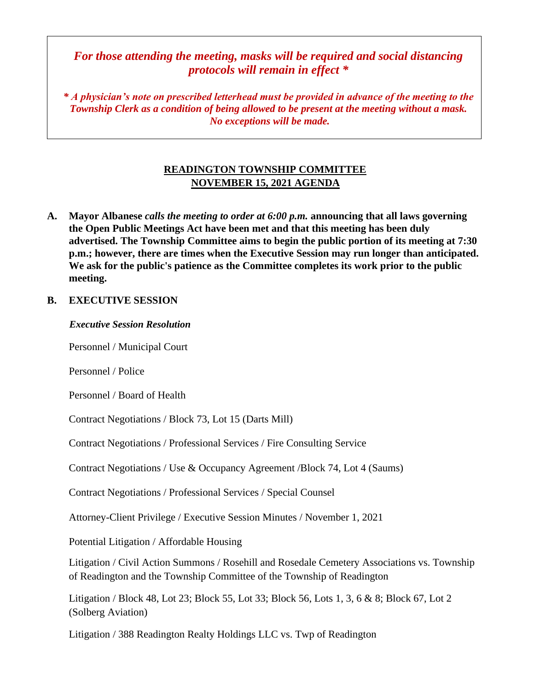# *For those attending the meeting, masks will be required and social distancing protocols will remain in effect \**

*\* A physician's note on prescribed letterhead must be provided in advance of the meeting to the Township Clerk as a condition of being allowed to be present at the meeting without a mask. No exceptions will be made.*

# **READINGTON TOWNSHIP COMMITTEE NOVEMBER 15, 2021 AGENDA**

**A. Mayor Albanese** *calls the meeting to order at 6:00 p.m.* **announcing that all laws governing the Open Public Meetings Act have been met and that this meeting has been duly advertised. The Township Committee aims to begin the public portion of its meeting at 7:30 p.m.; however, there are times when the Executive Session may run longer than anticipated. We ask for the public's patience as the Committee completes its work prior to the public meeting.**

### **B. EXECUTIVE SESSION**

#### *Executive Session Resolution*

Personnel / Municipal Court

Personnel / Police

Personnel / Board of Health

Contract Negotiations / Block 73, Lot 15 (Darts Mill)

Contract Negotiations / Professional Services / Fire Consulting Service

Contract Negotiations / Use & Occupancy Agreement /Block 74, Lot 4 (Saums)

Contract Negotiations / Professional Services / Special Counsel

Attorney-Client Privilege / Executive Session Minutes / November 1, 2021

Potential Litigation / Affordable Housing

Litigation / Civil Action Summons / Rosehill and Rosedale Cemetery Associations vs. Township of Readington and the Township Committee of the Township of Readington

Litigation / Block 48, Lot 23; Block 55, Lot 33; Block 56, Lots 1, 3, 6 & 8; Block 67, Lot 2 (Solberg Aviation)

Litigation / 388 Readington Realty Holdings LLC vs. Twp of Readington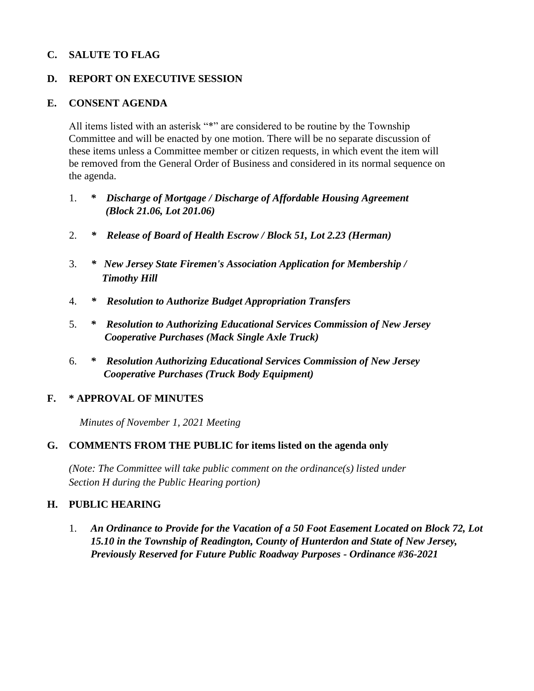### **C. SALUTE TO FLAG**

#### **D. REPORT ON EXECUTIVE SESSION**

#### **E. CONSENT AGENDA**

All items listed with an asterisk "\*" are considered to be routine by the Township Committee and will be enacted by one motion. There will be no separate discussion of these items unless a Committee member or citizen requests, in which event the item will be removed from the General Order of Business and considered in its normal sequence on the agenda.

- 1. *\* Discharge of Mortgage / Discharge of Affordable Housing Agreement (Block 21.06, Lot 201.06)*
- 2. *\* Release of Board of Health Escrow / Block 51, Lot 2.23 (Herman)*
- 3. *\* New Jersey State Firemen's Association Application for Membership / Timothy Hill*
- 4. *\* Resolution to Authorize Budget Appropriation Transfers*
- 5. *\* Resolution to Authorizing Educational Services Commission of New Jersey Cooperative Purchases (Mack Single Axle Truck)*
- 6. *\* Resolution Authorizing Educational Services Commission of New Jersey Cooperative Purchases (Truck Body Equipment)*

### **F. \* APPROVAL OF MINUTES**

 *Minutes of November 1, 2021 Meeting* 

#### **G. COMMENTS FROM THE PUBLIC for items listed on the agenda only**

*(Note: The Committee will take public comment on the ordinance(s) listed under Section H during the Public Hearing portion)*

#### **H. PUBLIC HEARING**

1. *An Ordinance to Provide for the Vacation of a 50 Foot Easement Located on Block 72, Lot 15.10 in the Township of Readington, County of Hunterdon and State of New Jersey, Previously Reserved for Future Public Roadway Purposes - Ordinance #36-2021*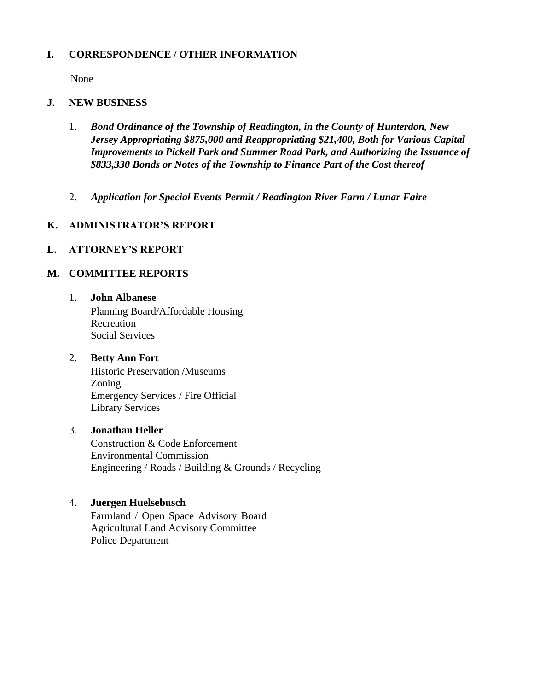### **I. CORRESPONDENCE / OTHER INFORMATION**

None

#### **J. NEW BUSINESS**

- 1. *Bond Ordinance of the Township of Readington, in the County of Hunterdon, New Jersey Appropriating \$875,000 and Reappropriating \$21,400, Both for Various Capital Improvements to Pickell Park and Summer Road Park, and Authorizing the Issuance of \$833,330 Bonds or Notes of the Township to Finance Part of the Cost thereof*
- 2. *Application for Special Events Permit / Readington River Farm / Lunar Faire*

### **K. ADMINISTRATOR'S REPORT**

## **L. ATTORNEY'S REPORT**

## **M. COMMITTEE REPORTS**

1. **John Albanese** Planning Board/Affordable Housing Recreation Social Services

### 2. **Betty Ann Fort**

Historic Preservation /Museums Zoning Emergency Services / Fire Official Library Services

#### 3. **Jonathan Heller**

Construction & Code Enforcement Environmental Commission Engineering / Roads / Building & Grounds / Recycling

### 4. **Juergen Huelsebusch**

Farmland / Open Space Advisory Board Agricultural Land Advisory Committee Police Department